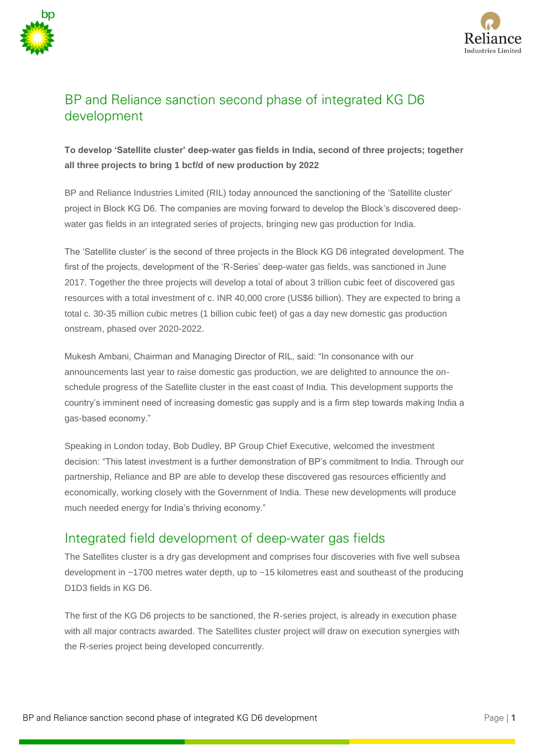



# BP and Reliance sanction second phase of integrated KG D6 development

#### **To develop 'Satellite cluster' deep-water gas fields in India, second of three projects; together all three projects to bring 1 bcf/d of new production by 2022**

BP and Reliance Industries Limited (RIL) today announced the sanctioning of the 'Satellite cluster' project in Block KG D6. The companies are moving forward to develop the Block's discovered deepwater gas fields in an integrated series of projects, bringing new gas production for India.

The 'Satellite cluster' is the second of three projects in the Block KG D6 integrated development. The first of the projects, development of the 'R-Series' deep-water gas fields, was sanctioned in June 2017. Together the three projects will develop a total of about 3 trillion cubic feet of discovered gas resources with a total investment of c. INR 40,000 crore (US\$6 billion). They are expected to bring a total c. 30-35 million cubic metres (1 billion cubic feet) of gas a day new domestic gas production onstream, phased over 2020-2022.

Mukesh Ambani, Chairman and Managing Director of RIL, said: "In consonance with our announcements last year to raise domestic gas production, we are delighted to announce the onschedule progress of the Satellite cluster in the east coast of India. This development supports the country's imminent need of increasing domestic gas supply and is a firm step towards making India a gas-based economy."

Speaking in London today, Bob Dudley, BP Group Chief Executive, welcomed the investment decision: "This latest investment is a further demonstration of BP's commitment to India. Through our partnership, Reliance and BP are able to develop these discovered gas resources efficiently and economically, working closely with the Government of India. These new developments will produce much needed energy for India's thriving economy."

## Integrated field development of deep-water gas fields

The Satellites cluster is a dry gas development and comprises four discoveries with five well subsea development in ~1700 metres water depth, up to ~15 kilometres east and southeast of the producing D1D3 fields in KG D6.

The first of the KG D6 projects to be sanctioned, the R-series project, is already in execution phase with all major contracts awarded. The Satellites cluster project will draw on execution synergies with the R-series project being developed concurrently.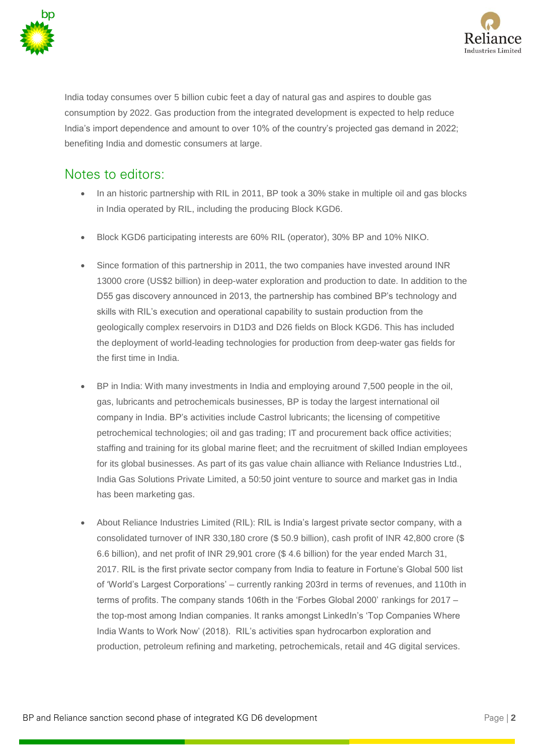



India today consumes over 5 billion cubic feet a day of natural gas and aspires to double gas consumption by 2022. Gas production from the integrated development is expected to help reduce India's import dependence and amount to over 10% of the country's projected gas demand in 2022; benefiting India and domestic consumers at large.

# Notes to editors:

- In an historic partnership with RIL in 2011, BP took a 30% stake in multiple oil and gas blocks in India operated by RIL, including the producing Block KGD6.
- Block KGD6 participating interests are 60% RIL (operator), 30% BP and 10% NIKO.
- Since formation of this partnership in 2011, the two companies have invested around INR 13000 crore (US\$2 billion) in deep-water exploration and production to date. In addition to the D55 gas discovery announced in 2013, the partnership has combined BP's technology and skills with RIL's execution and operational capability to sustain production from the geologically complex reservoirs in D1D3 and D26 fields on Block KGD6. This has included the deployment of world-leading technologies for production from deep-water gas fields for the first time in India.
- BP in India: With many investments in India and employing around 7,500 people in the oil, gas, lubricants and petrochemicals businesses, BP is today the largest international oil company in India. BP's activities include Castrol lubricants; the licensing of competitive petrochemical technologies; oil and gas trading; IT and procurement back office activities; staffing and training for its global marine fleet; and the recruitment of skilled Indian employees for its global businesses. As part of its gas value chain alliance with Reliance Industries Ltd., India Gas Solutions Private Limited, a 50:50 joint venture to source and market gas in India has been marketing gas.
- About Reliance Industries Limited (RIL): RIL is India's largest private sector company, with a consolidated turnover of INR 330,180 crore (\$ 50.9 billion), cash profit of INR 42,800 crore (\$ 6.6 billion), and net profit of INR 29,901 crore (\$ 4.6 billion) for the year ended March 31, 2017. RIL is the first private sector company from India to feature in Fortune's Global 500 list of 'World's Largest Corporations' – currently ranking 203rd in terms of revenues, and 110th in terms of profits. The company stands 106th in the 'Forbes Global 2000' rankings for 2017 – the top-most among Indian companies. It ranks amongst LinkedIn's 'Top Companies Where India Wants to Work Now' (2018). RIL's activities span hydrocarbon exploration and production, petroleum refining and marketing, petrochemicals, retail and 4G digital services.